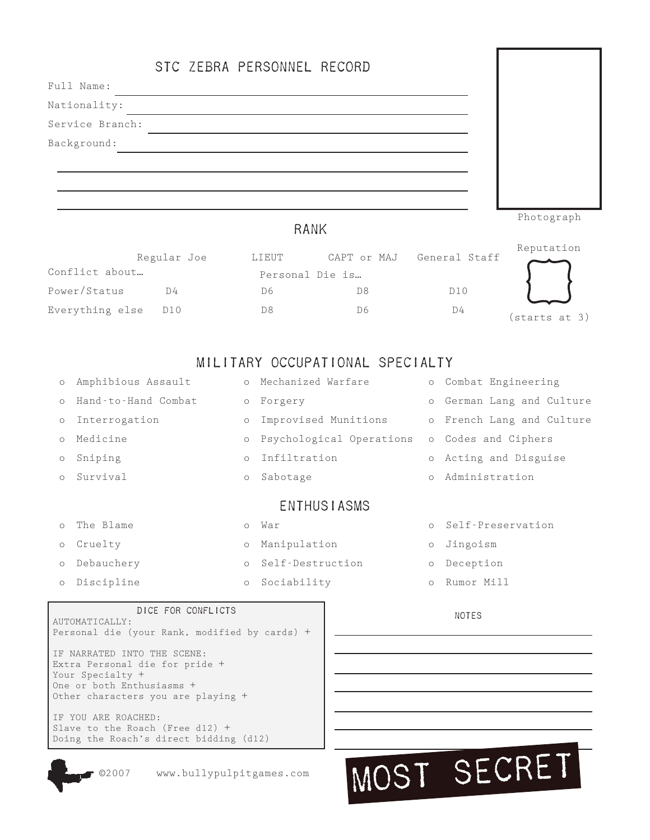|                 | STC ZEBRA PERSONNEL RECORD |            |
|-----------------|----------------------------|------------|
| Full Name:      |                            |            |
| Nationality:    |                            |            |
| Service Branch: |                            |            |
| Background:     |                            |            |
|                 |                            |            |
|                 |                            |            |
|                 |                            |            |
|                 | RANK                       | Photograph |

### RANK

|                     | Regular Joe | LIEUT | CAPT or MAJ     | General Staff  | Reputation    |
|---------------------|-------------|-------|-----------------|----------------|---------------|
| Conflict about      |             |       | Personal Die is |                |               |
| Power/Status        | D4          | D6    | D8              | D10            |               |
| Everything else D10 |             | D8    | D6              | D <sub>4</sub> | (starts at 3) |

## MILITARY OCCUPATIONAL SPECIALTY

| $\circ$              | Amphibious Assault  |         | o Mechanized Warfare     |         | o Combat Engineering      |
|----------------------|---------------------|---------|--------------------------|---------|---------------------------|
| $\bigcap$            | Hand-to-Hand Combat |         | o Forgery                |         | o German Lang and Culture |
| $\circ$              | Interrogation       | $\circ$ | Improvised Munitions     |         | o French Lang and Culture |
| $\Omega$             | Medicine            | $\circ$ | Psychological Operations |         | o Codes and Ciphers       |
| $\circ$              | Sniping             | $\circ$ | Infiltration             |         | o Acting and Disguise     |
| $\bigcap$            | Survival            | $\circ$ | Sabotage                 |         | o Administration          |
| <b>ENTHUS I ASMS</b> |                     |         |                          |         |                           |
|                      | o The Blame         | $\circ$ | War                      |         | o Self-Preservation       |
| $\circ$              | Cruelty             | $\circ$ | Manipulation             | $\circ$ | Jingoism                  |
| $\circ$              | Debauchery          |         | o Self-Destruction       | $\circ$ | Deception                 |
| $\circ$              | Discipline          | $\circ$ | Sociability              |         | o Rumor Mill              |

### DICE FOR CONFLICTS NOTES

AUTOMATICALLY: Personal die (your Rank, modified by cards) + IF NARRATED INTO THE SCENE: Extra Personal die for pride + Your Specialty + One or both Enthusiasms + Other characters you are playing + IF YOU ARE ROACHED:

Slave to the Roach (Free d12) + Doing the Roach's direct bidding (d12)